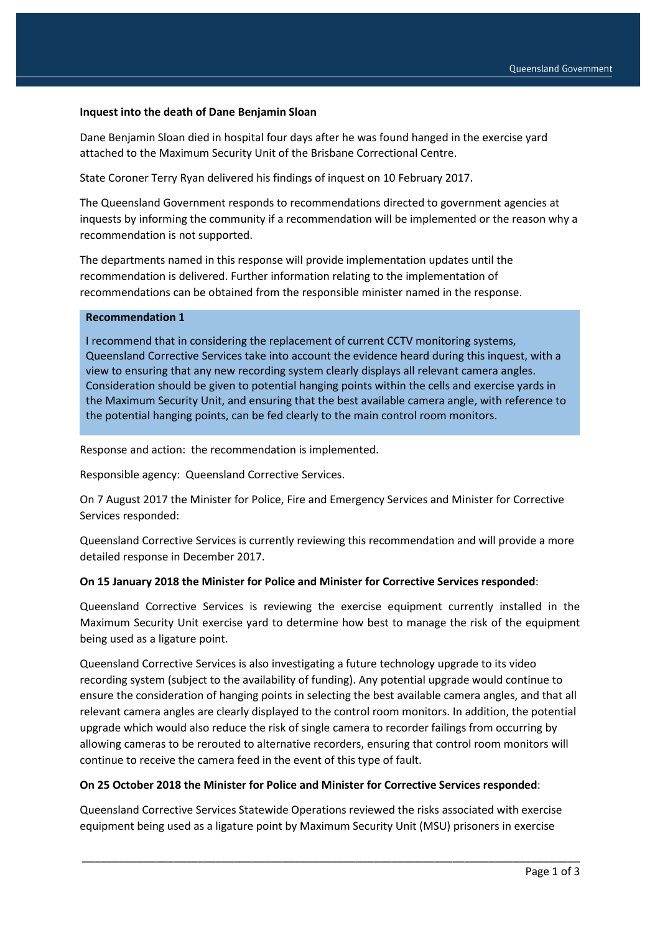### **Inquest into the death of Dane Benjamin Sloan**

Dane Benjamin Sloan died in hospital four days after he was found hanged in the exercise yard attached to the Maximum Security Unit of the Brisbane Correctional Centre.

State Coroner Terry Ryan delivered his findings of inquest on 10 February 2017.

The Queensland Government responds to recommendations directed to government agencies at inquests by informing the community if a recommendation will be implemented or the reason why a recommendation is not supported.

The departments named in this response will provide implementation updates until the recommendation is delivered. Further information relating to the implementation of recommendations can be obtained from the responsible minister named in the response.

#### **Recommendation 1**

I recommend that in considering the replacement of current CCTV monitoring systems, Queensland Corrective Services take into account the evidence heard during this inquest, with a view to ensuring that any new recording system clearly displays all relevant camera angles. Consideration should be given to potential hanging points within the cells and exercise yards in the Maximum Security Unit, and ensuring that the best available camera angle, with reference to the potential hanging points, can be fed clearly to the main control room monitors.

Response and action: the recommendation is implemented.

Responsible agency: Queensland Corrective Services.

On 7 August 2017 the Minister for Police, Fire and Emergency Services and Minister for Corrective Services responded:

Queensland Corrective Services is currently reviewing this recommendation and will provide a more detailed response in December 2017.

### **On 15 January 2018 the Minister for Police and Minister for Corrective Services responded**:

Queensland Corrective Services is reviewing the exercise equipment currently installed in the Maximum Security Unit exercise yard to determine how best to manage the risk of the equipment being used as a ligature point.

Queensland Corrective Services is also investigating a future technology upgrade to its video recording system (subject to the availability of funding). Any potential upgrade would continue to ensure the consideration of hanging points in selecting the best available camera angles, and that all relevant camera angles are clearly displayed to the control room monitors. In addition, the potential upgrade which would also reduce the risk of single camera to recorder failings from occurring by allowing cameras to be rerouted to alternative recorders, ensuring that control room monitors will continue to receive the camera feed in the event of this type of fault.

#### **On 25 October 2018 the Minister for Police and Minister for Corrective Services responded**:

Queensland Corrective Services Statewide Operations reviewed the risks associated with exercise equipment being used as a ligature point by Maximum Security Unit (MSU) prisoners in exercise

\_\_\_\_\_\_\_\_\_\_\_\_\_\_\_\_\_\_\_\_\_\_\_\_\_\_\_\_\_\_\_\_\_\_\_\_\_\_\_\_\_\_\_\_\_\_\_\_\_\_\_\_\_\_\_\_\_\_\_\_\_\_\_\_\_\_\_\_\_\_\_\_\_\_\_\_\_\_\_\_\_\_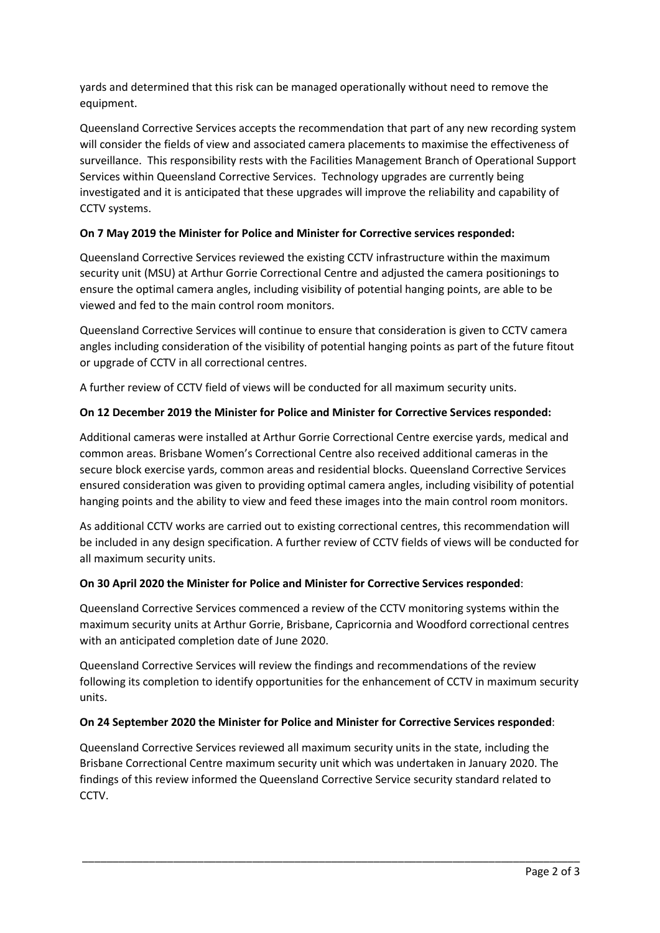yards and determined that this risk can be managed operationally without need to remove the equipment.

Queensland Corrective Services accepts the recommendation that part of any new recording system will consider the fields of view and associated camera placements to maximise the effectiveness of surveillance. This responsibility rests with the Facilities Management Branch of Operational Support Services within Queensland Corrective Services. Technology upgrades are currently being investigated and it is anticipated that these upgrades will improve the reliability and capability of CCTV systems.

# **On 7 May 2019 the Minister for Police and Minister for Corrective services responded:**

Queensland Corrective Services reviewed the existing CCTV infrastructure within the maximum security unit (MSU) at Arthur Gorrie Correctional Centre and adjusted the camera positionings to ensure the optimal camera angles, including visibility of potential hanging points, are able to be viewed and fed to the main control room monitors.

Queensland Corrective Services will continue to ensure that consideration is given to CCTV camera angles including consideration of the visibility of potential hanging points as part of the future fitout or upgrade of CCTV in all correctional centres.

A further review of CCTV field of views will be conducted for all maximum security units.

# **On 12 December 2019 the Minister for Police and Minister for Corrective Services responded:**

Additional cameras were installed at Arthur Gorrie Correctional Centre exercise yards, medical and common areas. Brisbane Women's Correctional Centre also received additional cameras in the secure block exercise yards, common areas and residential blocks. Queensland Corrective Services ensured consideration was given to providing optimal camera angles, including visibility of potential hanging points and the ability to view and feed these images into the main control room monitors.

As additional CCTV works are carried out to existing correctional centres, this recommendation will be included in any design specification. A further review of CCTV fields of views will be conducted for all maximum security units.

## **On 30 April 2020 the Minister for Police and Minister for Corrective Services responded**:

Queensland Corrective Services commenced a review of the CCTV monitoring systems within the maximum security units at Arthur Gorrie, Brisbane, Capricornia and Woodford correctional centres with an anticipated completion date of June 2020.

Queensland Corrective Services will review the findings and recommendations of the review following its completion to identify opportunities for the enhancement of CCTV in maximum security units.

## **On 24 September 2020 the Minister for Police and Minister for Corrective Services responded**:

Queensland Corrective Services reviewed all maximum security units in the state, including the Brisbane Correctional Centre maximum security unit which was undertaken in January 2020. The findings of this review informed the Queensland Corrective Service security standard related to CCTV.

\_\_\_\_\_\_\_\_\_\_\_\_\_\_\_\_\_\_\_\_\_\_\_\_\_\_\_\_\_\_\_\_\_\_\_\_\_\_\_\_\_\_\_\_\_\_\_\_\_\_\_\_\_\_\_\_\_\_\_\_\_\_\_\_\_\_\_\_\_\_\_\_\_\_\_\_\_\_\_\_\_\_